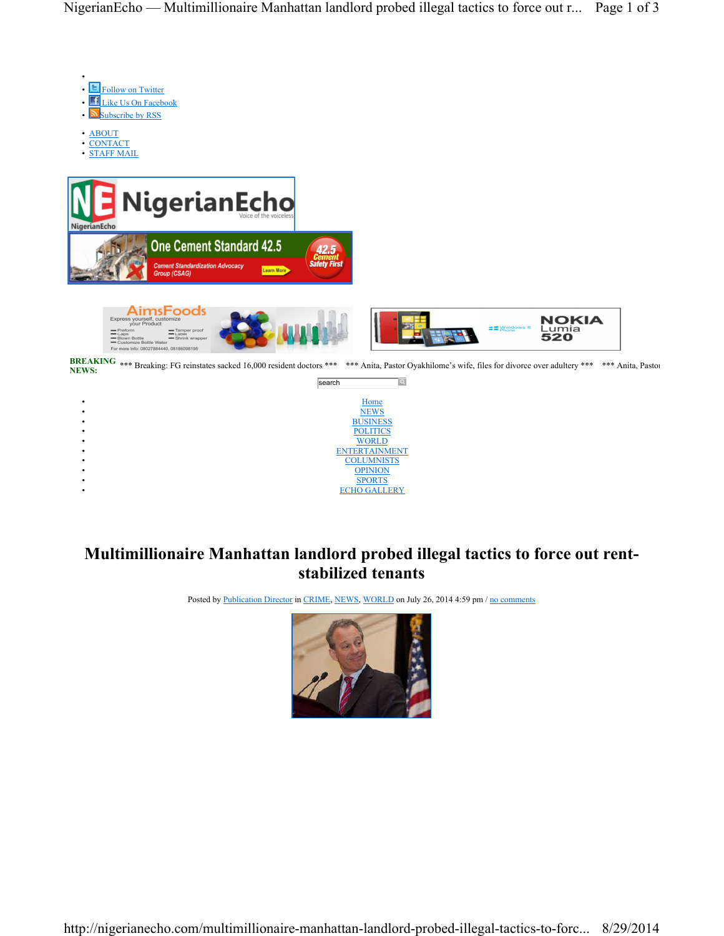

BREAKING \*\*\* Breaking: FG reinstates sacked 16,000 resident doctors \*\*\* \*\*\* Anita, Pastor Oyakhilome's wife, files for divorce over adultery \*\*\* \*\*\* Anita, Pastor NEWS:



## **Multimillionaire Manhattan landlord probed illegal tactics to force out rentstabilized tenants**

Posted by Publication Director in CRIME, NEWS, WORLD on July 26, 2014 4:59 pm / no comments

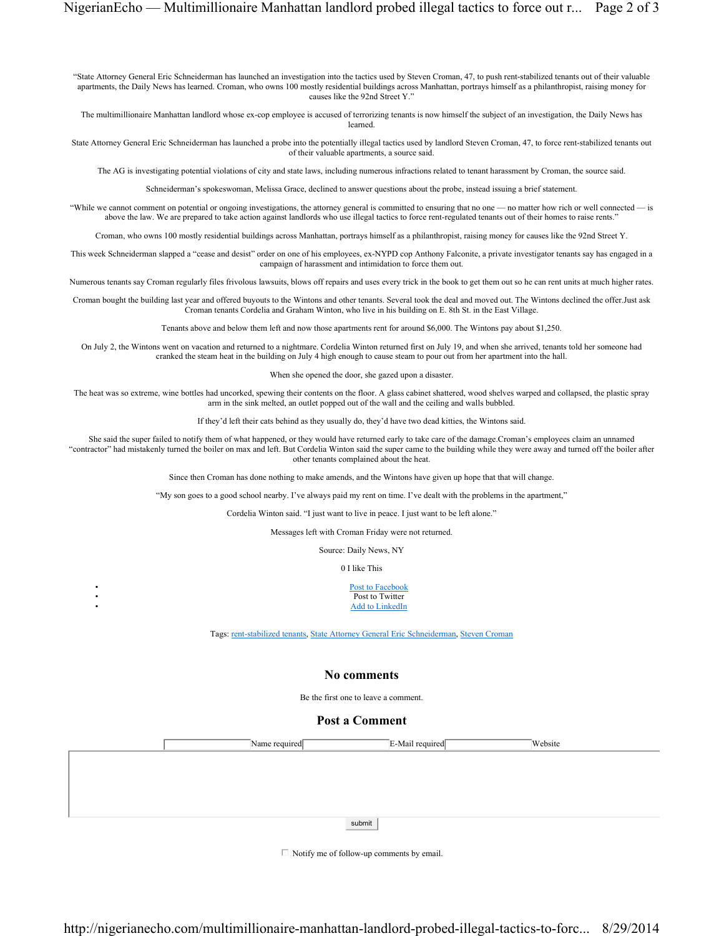"State Attorney General Eric Schneiderman has launched an investigation into the tactics used by Steven Croman, 47, to push rent-stabilized tenants out of their valuable apartments, the Daily News has learned. Croman, who owns 100 mostly residential buildings across Manhattan, portrays himself as a philanthropist, raising money for causes like the 92nd Street Y."

The multimillionaire Manhattan landlord whose ex-cop employee is accused of terrorizing tenants is now himself the subject of an investigation, the Daily News has learned.

State Attorney General Eric Schneiderman has launched a probe into the potentially illegal tactics used by landlord Steven Croman, 47, to force rent-stabilized tenants out of their valuable apartments, a source said.

The AG is investigating potential violations of city and state laws, including numerous infractions related to tenant harassment by Croman, the source said.

Schneiderman's spokeswoman, Melissa Grace, declined to answer questions about the probe, instead issuing a brief statement.

"While we cannot comment on potential or ongoing investigations, the attorney general is committed to ensuring that no one — no matter how rich or well connected — is above the law. We are prepared to take action against landlords who use illegal tactics to force rent-regulated tenants out of their homes to raise rents."

Croman, who owns 100 mostly residential buildings across Manhattan, portrays himself as a philanthropist, raising money for causes like the 92nd Street Y.

This week Schneiderman slapped a "cease and desist" order on one of his employees, ex-NYPD cop Anthony Falconite, a private investigator tenants say has engaged in a campaign of harassment and intimidation to force them out.

Numerous tenants say Croman regularly files frivolous lawsuits, blows off repairs and uses every trick in the book to get them out so he can rent units at much higher rates.

Croman bought the building last year and offered buyouts to the Wintons and other tenants. Several took the deal and moved out. The Wintons declined the offer.Just ask Croman tenants Cordelia and Graham Winton, who live in his building on E. 8th St. in the East Village.

Tenants above and below them left and now those apartments rent for around \$6,000. The Wintons pay about \$1,250.

On July 2, the Wintons went on vacation and returned to a nightmare. Cordelia Winton returned first on July 19, and when she arrived, tenants told her someone had cranked the steam heat in the building on July 4 high enough to cause steam to pour out from her apartment into the hall.

When she opened the door, she gazed upon a disaster.

The heat was so extreme, wine bottles had uncorked, spewing their contents on the floor. A glass cabinet shattered, wood shelves warped and collapsed, the plastic spray arm in the sink melted, an outlet popped out of the wall and the ceiling and walls bubbled.

If they'd left their cats behind as they usually do, they'd have two dead kitties, the Wintons said.

She said the super failed to notify them of what happened, or they would have returned early to take care of the damage.Croman's employees claim an unnamed "contractor" had mistakenly turned the boiler on max and left. But Cordelia Winton said the super came to the building while they were away and turned off the boiler after other tenants complained about the heat.

Since then Croman has done nothing to make amends, and the Wintons have given up hope that that will change.

"My son goes to a good school nearby. I've always paid my rent on time. I've dealt with the problems in the apartment,"

Cordelia Winton said. "I just want to live in peace. I just want to be left alone."

Messages left with Croman Friday were not returned.

Source: Daily News, NY

0 I like This

Post to Facebook Post to Twitter Add to LinkedIn

Tags: rent-stabilized tenants, State Attorney General Eric Schneiderman, Steven Croman

## **No comments**

Be the first one to leave a comment.

## **Post a Comment**

|  | Name required $\Box$ |        | $\bar{E}$ -Mail required $\bar{E}$ | Website |
|--|----------------------|--------|------------------------------------|---------|
|  |                      |        |                                    |         |
|  |                      |        |                                    |         |
|  |                      |        |                                    |         |
|  |                      |        |                                    |         |
|  |                      | submit |                                    |         |

 $\Box$  Notify me of follow-up comments by email.